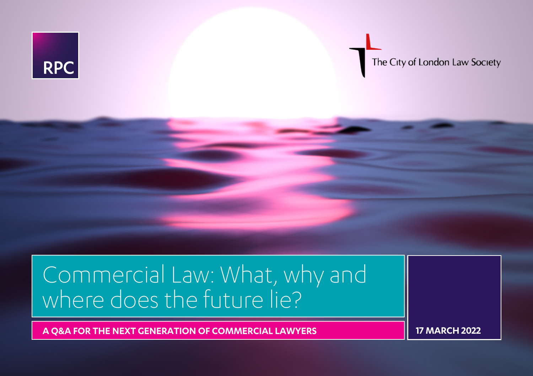

The City of London Law Society

## Commercial Law: What, why and where does the future lie?

**A Q&A FOR THE NEXT GENERATION OF COMMERCIAL LAWYERS 17 MARCH 2022**